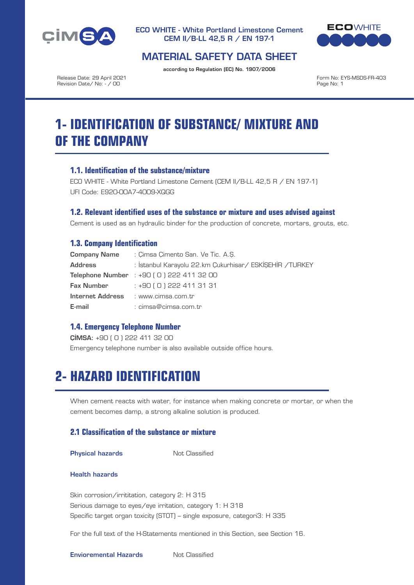



## MATERIAL SAFETY DATA SHEET

according to Regulation (EC) No. 1907/2006

Release Date: 29 April 2021 Revision Date/ No: - / 00

Form No: EYS-MSDS-FR-403 Page No: 1

# **1- IDENTIFICATION OF SUBSTANCE/ MIXTURE AND OF THE COMPANY**

## **1.1. Identification of the substance/mixture**

ECO WHITE - White Portland Limestone Cement (CEM II/B-LL 42,5 R / EN 197-1) UFI Code: E920-00A7-4009-XQGG

## **1.2. Relevant identified uses of the substance or mixture and uses advised against**

Cement is used as an hydraulic binder for the production of concrete, mortars, grouts, etc.

## **1.3. Company Identification**

| <b>Company Name</b> | : Cimsa Cimento San, Ve Tic, A.S.                         |
|---------------------|-----------------------------------------------------------|
| <b>Address</b>      | : İstanbul Karayolu 22,km Çukurhisar / ESKİŞEHİR / TURKEY |
|                     | Telephone Number : +90 (0) 222 411 32 00                  |
| <b>Fax Number</b>   | $: +90$ ( O ) 222 411 31 31                               |
| Internet Address    | : www.cimsa.com.tr                                        |
| E-mail              | : cimsa@cimsa.com.tr                                      |

## **1.4. Emergency Telephone Number**

ÇİMSA: +90 ( 0 ) 222 411 32 00 Emergency telephone number is also available outside office hours.

## **2- HAZARD IDENTIFICATION**

When cement reacts with water, for instance when making concrete or mortar, or when the cement becomes damp, a strong alkaline solution is produced.

## **2.1 Classification of the substance or mixture**

**Physical hazards** Not Classified

#### Health hazards

Skin corrosion/irrititation, category 2: H 315 Serious damage to eyes/eye irritation, category 1: H 318 Specific target organ toxicity (STOT) – single exposure, categori3: H 335

For the full text of the H-Statements mentioned in this Section, see Section 16.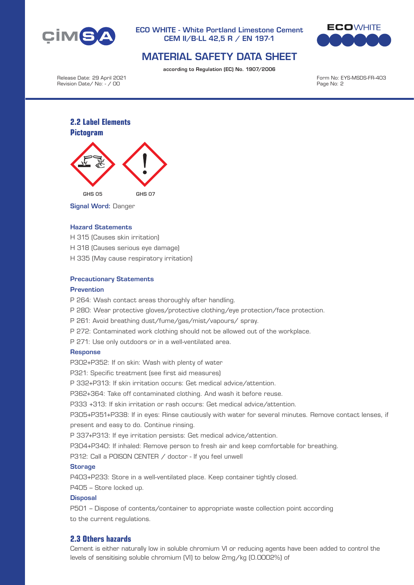



## MATERIAL SAFETY DATA SHEET

according to Regulation (EC) No. 1907/2006

Release Date: 29 April 2021 Revision Date/ No: - / 00

Form No: EYS-MSDS-FR-403 Page No: 2

## **2.2 Label Elements Pictogram**



Signal Word: Danger

### Hazard Statements

- H 315 (Causes skin irritation)
- H 318 (Causes serious eye damage)
- H 335 (May cause respiratory irritation)

#### Precautionary Statements

#### Prevention

P 264: Wash contact areas thoroughly after handling.

- P 280: Wear protective gloves/protective clothing/eye protection/face protection.
- P 261: Avoid breathing dust/fume/gas/mist/vapours/ spray.
- P 272: Contaminated work clothing should not be allowed out of the workplace.
- P 271: Use only outdoors or in a well-ventilated area.

#### **Response**

P302+P352: If on skin: Wash with plenty of water

P321: Specific treatment (see first aid measures)

P 332+P313: If skin irritation occurs: Get medical advice/attention.

P362+364: Take off contaminated clothing. And wash it before reuse.

P333 +313: If skin irritation or rash occurs: Get medical advice/attention.

P305+P351+P338: If in eyes: Rinse cautiously with water for several minutes. Remove contact lenses, if present and easy to do. Continue rinsing.

P 337+P313: If eye irritation persists: Get medical advice/attention.

P304+P340: If inhaled: Remove person to fresh air and keep comfortable for breathing.

P312: Call a POISON CENTER / doctor - If you feel unwell

#### **Storage**

P403+P233: Store in a well-ventilated place. Keep container tightly closed.

P405 – Store locked up.

#### **Disposal**

P501 – Dispose of contents/container to appropriate waste collection point according to the current regulations.

### **2.3 Others hazards**

Cement is either naturally low in soluble chromium VI or reducing agents have been added to control the levels of sensitising soluble chromium (VI) to below 2mg/kg (0.0002%) of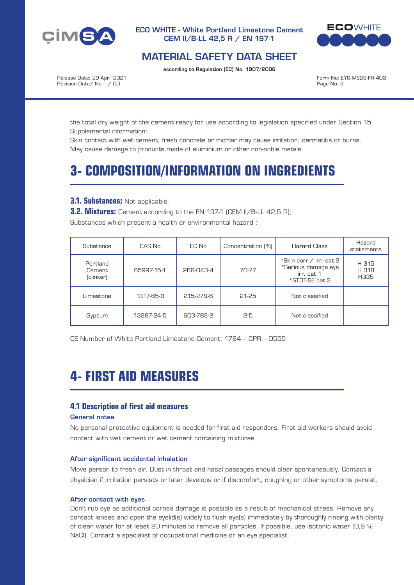



## MATERIAL SAFETY DATA SHEET

according to Regulation (EC) No. 1907/2006

Release Date: 29 April 2021 Revision Date/ No: - / 00

Form No: EYS-MSDS-FR-403 Page No: 3

the total dry weight of the cement ready for use according to legislation specified under Section 15. Supplemental information:

Skin contact with wet cement, fresh concrete or mortar may cause irritation, dermatitis or burns. May cause damage to products made of aluminium or other non-noble metals.

# **3- COMPOSITION/INFORMATION ON INGREDIENTS**

### **3.1. Substances:** Not applicable.

**3.2. Mixtures:** Cement according to the EN 197-1 (CEM II/B-LL 42,5 R);

Substances which present a health or environmental hazard :

| Substance                       | CAS No     | EC No     | Concentration [%] | <b>Hazard Class</b>                                                            | Hazard<br>statements   |
|---------------------------------|------------|-----------|-------------------|--------------------------------------------------------------------------------|------------------------|
| Portland<br>Cement<br>(clinker) | 65997-15-1 | 266-043-4 | 70-77             | *Skin corr./ irr. cat.2<br>*Serious damage eye<br>irr. cat 1<br>*STOT-SE cat.3 | H 315<br>H 318<br>H335 |
| Limestone                       | 1317-65-3  | 215-279-6 | 21-25             | Not classified                                                                 |                        |
| Gypsum                          | 13397-24-5 | 603-783-2 | $2-5$             | Not classified                                                                 |                        |

CE Number of White Portland Limestone Cement: 1784 – CPR – 0555

# **4- FIRST AID MEASURES**

## **4.1 Description of first aid measures**

#### General notes

No personal protective equipment is needed for first aid responders. First aid workers should avoid contact with wet cement or wet cement containing mixtures.

#### After significant accidental inhalation

Move person to fresh air. Dust in throat and nasal passages should clear spontaneously. Contact a physician if irritation persists or later develops or if discomfort, coughing or other symptoms persist.

#### After contact with eyes

Don't rub eye as additional cornea damage is possible as a result of mechanical stress. Remove any contact lenses and open the eyelid(s) widely to flush eye(s) immediately by thoroughly rinsing with plenty of clean water for at least 20 minutes to remove all particles. If possible, use isotonic water (0,9 % NaCl). Contact a specialist of occupational medicine or an eye specialist.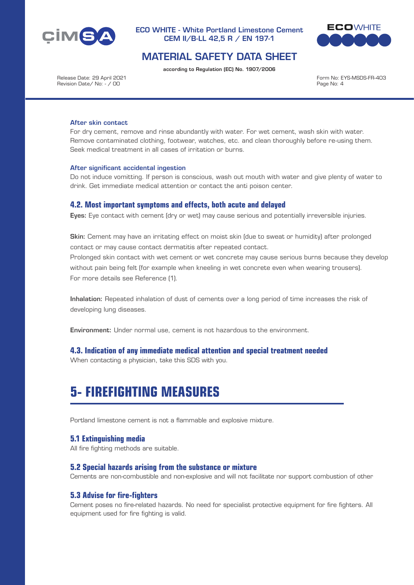



## MATERIAL SAFETY DATA SHEET

according to Regulation (EC) No. 1907/2006

Release Date: 29 April 2021 Revision Date/ No: - / 00

Form No: EYS-MSDS-FR-403 Page No: 4

#### After skin contact

For dry cement, remove and rinse abundantly with water. For wet cement, wash skin with water. Remove contaminated clothing, footwear, watches, etc. and clean thoroughly before re-using them. Seek medical treatment in all cases of irritation or burns.

#### After significant accidental ingestion

Do not induce vomitting. If person is conscious, wash out mouth with water and give plenty of water to drink. Get immediate medical attention or contact the anti poison center.

#### **4.2. Most important symptoms and effects, both acute and delayed**

Eyes: Eye contact with cement (dry or wet) may cause serious and potentially irreversible injuries.

Skin: Cement may have an irritating effect on moist skin (due to sweat or humidity) after prolonged contact or may cause contact dermatitis after repeated contact.

Prolonged skin contact with wet cement or wet concrete may cause serious burns because they develop without pain being felt (for example when kneeling in wet concrete even when wearing trousers). For more details see Reference (1).

Inhalation: Repeated inhalation of dust of cements over a long period of time increases the risk of developing lung diseases.

Environment: Under normal use, cement is not hazardous to the environment.

#### **4.3. Indication of any immediate medical attention and special treatment needed**

When contacting a physician, take this SDS with you.

## **5- FIREFIGHTING MEASURES**

Portland limestone cement is not a flammable and explosive mixture.

## **5.1 Extinguishing media**

All fire fighting methods are suitable.

#### **5.2 Special hazards arising from the substance or mixture**

Cements are non-combustible and non-explosive and will not facilitate nor support combustion of other

## **5.3 Advise for fire-fighters**

Cement poses no fire-related hazards. No need for specialist protective equipment for fire fighters. All equipment used for fire fighting is valid.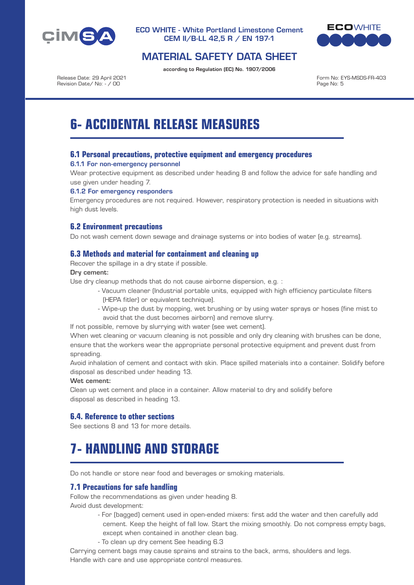



## MATERIAL SAFETY DATA SHEET

according to Regulation (EC) No. 1907/2006

Release Date: 29 April 2021 Revision Date/ No: - / 00

Form No: EYS-MSDS-FR-403 Page No: 5

# **6- ACCIDENTAL RELEASE MEASURES**

## **6.1 Personal precautions, protective equipment and emergency procedures**

#### 6.1.1 For non-emergency personnel

Wear protective equipment as described under heading 8 and follow the advice for safe handling and use given under heading 7.

#### 6.1.2 For emergency responders

Emergency procedures are not required. However, respiratory protection is needed in situations with high dust levels.

## **6.2 Environment precautions**

Do not wash cement down sewage and drainage systems or into bodies of water (e.g. streams).

## **6.3 Methods and material for containment and cleaning up**

Recover the spillage in a dry state if possible.

#### Dry cement:

Use dry cleanup methods that do not cause airborne dispersion, e.g. :

- Vacuum cleaner (Industrial portable units, equipped with high efficiency particulate filters (HEPA fitler) or equivalent technique).
- Wipe-up the dust by mopping, wet brushing or by using water sprays or hoses (fine mist to avoid that the dust becomes airborn) and remove slurry.

If not possible, remove by slurrying with water (see wet cement).

When wet cleaning or vacuum cleaning is not possible and only dry cleaning with brushes can be done, ensure that the workers wear the appropriate personal protective equipment and prevent dust from spreading.

Avoid inhalation of cement and contact with skin. Place spilled materials into a container. Solidify before disposal as described under heading 13.

#### Wet cement:

Clean up wet cement and place in a container. Allow material to dry and solidify before disposal as described in heading 13.

## **6.4. Reference to other sections**

See sections 8 and 13 for more details.

# **7- HANDLING AND STORAGE**

Do not handle or store near food and beverages or smoking materials.

## **7.1 Precautions for safe handling**

Follow the recommendations as given under heading 8.

Avoid dust development:

- For (bagged) cement used in open-ended mixers: first add the water and then carefully add cement. Keep the height of fall low. Start the mixing smoothly. Do not compress empty bags, except when contained in another clean bag.
- To clean up dry cement See heading 6.3

Carrying cement bags may cause sprains and strains to the back, arms, shoulders and legs. Handle with care and use appropriate control measures.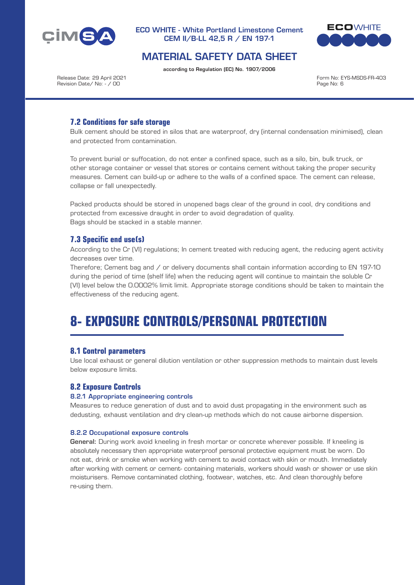



## MATERIAL SAFETY DATA SHEET

according to Regulation (EC) No. 1907/2006

Release Date: 29 April 2021 Revision Date/ No: - / 00

Form No: EYS-MSDS-FR-403 Page No: 6

## **7.2 Conditions for safe storage**

Bulk cement should be stored in silos that are waterproof, dry (internal condensation minimised), clean and protected from contamination.

To prevent burial or suffocation, do not enter a confined space, such as a silo, bin, bulk truck, or other storage container or vessel that stores or contains cement without taking the proper security measures. Cement can build-up or adhere to the walls of a confined space. The cement can release, collapse or fall unexpectedly.

Packed products should be stored in unopened bags clear of the ground in cool, dry conditions and protected from excessive draught in order to avoid degradation of quality. Bags should be stacked in a stable manner.

## **7.3 Specific end use(s)**

According to the Cr (VI) regulations; In cement treated with reducing agent, the reducing agent activity decreases over time.

Therefore; Cement bag and / or delivery documents shall contain information according to EN 197-10 during the period of time (shelf life) when the reducing agent will continue to maintain the soluble Cr (VI) level below the 0.0002% limit limit. Appropriate storage conditions should be taken to maintain the effectiveness of the reducing agent.

# **8- EXPOSURE CONTROLS/PERSONAL PROTECTION**

## **8.1 Control parameters**

Use local exhaust or general dilution ventilation or other suppression methods to maintain dust levels below exposure limits.

## **8.2 Exposure Controls**

#### 8.2.1 Appropriate engineering controls

Measures to reduce generation of dust and to avoid dust propagating in the environment such as dedusting, exhaust ventilation and dry clean-up methods which do not cause airborne dispersion.

#### 8.2.2 Occupational exposure controls

General: During work avoid kneeling in fresh mortar or concrete wherever possible. If kneeling is absolutely necessary then appropriate waterproof personal protective equipment must be worn. Do not eat, drink or smoke when working with cement to avoid contact with skin or mouth. Immediately after working with cement or cement- containing materials, workers should wash or shower or use skin moisturisers. Remove contaminated clothing, footwear, watches, etc. And clean thoroughly before re-using them.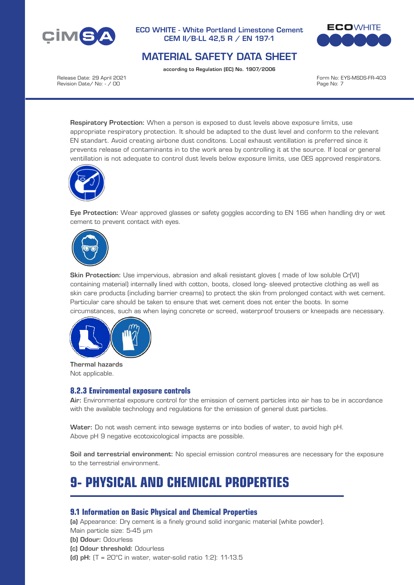



## MATERIAL SAFETY DATA SHEET

according to Regulation (EC) No. 1907/2006

Release Date: 29 April 2021 Revision Date/ No: - / 00

Form No: EYS-MSDS-FR-403 Page No: 7

Respiratory Protection: When a person is exposed to dust levels above exposure limits, use appropriate respiratory protection. It should be adapted to the dust level and conform to the relevant EN standart. Avoid creating airbone dust conditons. Local exhaust ventillation is preferred since it prevents release of contaminants in to the work area by controlling it at the source. If local or general ventillation is not adequate to control dust levels below exposure limits, use OES approved respirators.



Eye Protection: Wear approved glasses or safety goggles according to EN 166 when handling dry or wet cement to prevent contact with eyes.



Skin Protection: Use impervious, abrasion and alkali resistant gloves ( made of low soluble Cr(VI) containing material) internally lined with cotton, boots, closed long- sleeved protective clothing as well as skin care products (including barrier creams) to protect the skin from prolonged contact with wet cement. Particular care should be taken to ensure that wet cement does not enter the boots. In some circumstances, such as when laying concrete or screed, waterproof trousers or kneepads are necessary.



Thermal hazards Not applicable.

## **8.2.3 Enviromental exposure controls**

Air: Environmental exposure control for the emission of cement particles into air has to be in accordance with the available technology and regulations for the emission of general dust particles.

Water: Do not wash cement into sewage systems or into bodies of water, to avoid high pH. Above pH 9 negative ecotoxicological impacts are possible.

Soil and terrestrial environment: No special emission control measures are necessary for the exposure to the terrestrial environment.

# **9- PHYSICAL AND CHEMICAL PROPERTIES**

## **9.1 Information on Basic Physical and Chemical Properties**

(a) Appearance: Dry cement is a finely ground solid inorganic material (white powder). Main particle size: 5-45 μm

- (b) Odour: Odourless
- (c) Odour threshold: Odourless
- (d) pH:  $(T = 20^{\circ}C$  in water, water-solid ratio 1:2): 11-13.5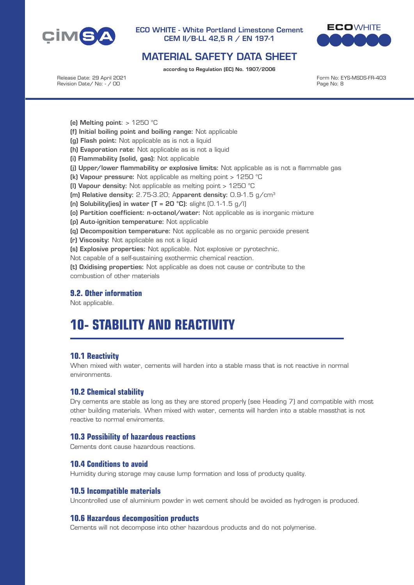



## MATERIAL SAFETY DATA SHEET

according to Regulation (EC) No. 1907/2006

Release Date: 29 April 2021 Revision Date/ No: - / 00

Form No: EYS-MSDS-FR-403 Page No: 8

(e) Melting point:  $> 1250$  °C

- (f) Initial boiling point and boiling range: Not applicable
- (g) Flash point: Not applicable as is not a liquid
- (h) Evaporation rate: Not applicable as is not a liquid
- (i) Flammability (solid, gas): Not applicable
- (j) Upper/lower flammability or explosive limits: Not applicable as is not a flammable gas
- (k) Vapour pressure: Not applicable as melting point > 1250 °C
- (l) Vapour density: Not applicable as melting point > 1250 °C
- (m) Relative density: 2.75-3.20; Apparent density: 0.9-1.5 g/cm3
- (n) Solubility(ies) in water  $(T = 20 °C)$ : slight  $(0.1-1.5 g/l)$
- (o) Partition coefficient: n-octanol/water: Not applicable as is inorganic mixture
- (p) Auto-ignition temperature: Not applicable
- (q) Decomposition temperature: Not applicable as no organic peroxide present
- (r) Viscosity: Not applicable as not a liquid
- (s) Explosive properties: Not applicable. Not explosive or pyrotechnic.

Not capable of a self-sustaining exothermic chemical reaction.

(t) Oxidising properties: Not applicable as does not cause or contribute to the combustion of other materials

## **9.2. Other information**

Not applicable.

# **10- STABILITY AND REACTIVITY**

## **10.1 Reactivity**

When mixed with water, cements will harden into a stable mass that is not reactive in normal environments.

## **10.2 Chemical stability**

Dry cements are stable as long as they are stored properly (see Heading 7) and compatible with most other building materials. When mixed with water, cements will harden into a stable massthat is not reactive to normal enviroments.

## **10.3 Possibility of hazardous reactions**

Cements dont cause hazardous reactions.

## **10.4 Conditions to avoid**

Humidity during storage may cause lump formation and loss of producty quality.

## **10.5 Incompatible materials**

Uncontrolled use of aluminium powder in wet cement should be avoided as hydrogen is produced.

## **10.6 Hazardous decomposition products**

Cements will not decompose into other hazardous products and do not polymerise.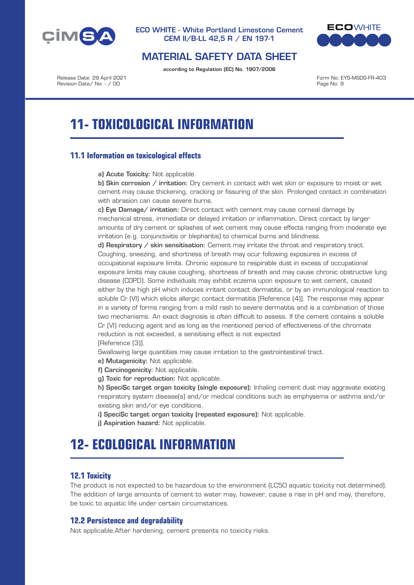



## MATERIAL SAFETY DATA SHEET

according to Regulation (EC) No. 1907/2006

Release Date: 29 April 2021 Revision Date/ No: - / 00

Form No: EYS-MSDS-FR-403 Page No: 9

# **11- TOXICOLOGICAL INFORMATION**

## **11.1 Information on toxicological effects**

a) Acute Toxicity: Not applicable.

b) Skin corrosion / irritation: Dry cement in contact with wet skin or exposure to moist or wet cement may cause thickening, cracking or fissuring of the skin. Prolonged contact in combination with abrasion can cause severe burns.

c) Eye Damage/ irritation: Direct contact with cement may cause corneal damage by mechanical stress, immediate or delayed irritation or inflammation. Direct contact by larger amounts of dry cement or splashes of wet cement may cause effects ranging from moderate eye irritation (e.g. conjunctivitis or blepharitis) to chemical burns and blindness.

d) Respiratory / skin sensitisation: Cement may irritate the throat and respiratory tract. Coughing, sneezing, and shortness of breath may ocur following exposures in excess of occupational exposure limits. Chronic exposure to respirable dust in excess of occupational exposure limits may cause coughing, shortness of breath and may cause chronic obstructive lung disease (COPD). Some individuals may exhibit eczema upon exposure to wet cement, caused either by the high pH which induces irritant contact dermatitis, or by an immunological reaction to soluble Cr (VI) which elicits allergic contact dermatitis [Reference (4)]. The response may appear in a variety of forms ranging from a mild rash to severe dermatitis and is a combination of those two mechanisms. An exact diagnosis is often difficult to assess. If the cement contains a soluble Cr (VI) reducing agent and as long as the mentioned period of effectiveness of the chromate reduction is not exceeded, a sensitising effect is not expected [Reference (3)].

Swallowing large quantities may cause irritation to the gastrointestinal tract.

e) Mutagenicity: Not applicable.

f) Carcinogenicity: Not applicable.

g) Toxic for reproduction: Not applicable.

h) SpeciSc target organ toxicity (single exposure): Inhaling cement dust may aggravate existing respiratory system disease(s) and/or medical conditions such as emphysema or asthma and/or existing skin and/or eye conditions.

i) SpeciSc target organ toxicity (repeated exposure): Not applicable.

j) Aspiration hazard: Not applicable.

# **12- ECOLOGICAL INFORMATION**

## **12.1 Toxicity**

The product is not expected to be hazardous to the environment (LC50 aquatic toxicity not determined). The addition of large amounts of cement to water may, however, cause a rise in pH and may, therefore, be toxic to aquatic life under certain circumstances.

## **12.2 Persistence and degradability**

Not applicable.After hardening, cement presents no toxicity risks.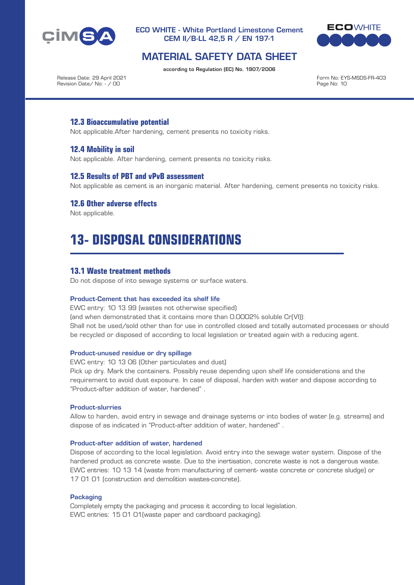



## MATERIAL SAFETY DATA SHEET

according to Regulation (EC) No. 1907/2006

Release Date: 29 April 2021 Revision Date/ No: - / 00

Form No: EYS-MSDS-FR-403 Page No: 10

## **12.3 Bioaccumulative potential**

Not applicable.After hardening, cement presents no toxicity risks.

## **12.4 Mobility in soil**

Not applicable. After hardening, cement presents no toxicity risks.

### **12.5 Results of PBT and vPvB assessment**

Not applicable as cement is an inorganic material. After hardening, cement presents no toxicity risks.

### **12.6 Other adverse effects**

Not applicable.

# **13- DISPOSAL CONSIDERATIONS**

### **13.1 Waste treatment methods**

Do not dispose of into sewage systems or surface waters.

#### Product-Cement that has exceeded its shelf life

EWC entry: 10 13 99 (wastes not otherwise specified) (and when demonstrated that it contains more than 0.0002% soluble Cr(VI)): Shall not be used/sold other than for use in controlled closed and totally automated processes or should be recycled or disposed of according to local legislation or treated again with a reducing agent.

#### Product-unused residue or dry spillage

EWC entry: 10 13 06 (Other particulates and dust)

Pick up dry. Mark the containers. Possibly reuse depending upon shelf life considerations and the requirement to avoid dust exposure. In case of disposal, harden with water and dispose according to "Product-after addition of water, hardened" .

#### Product-slurries

Allow to harden, avoid entry in sewage and drainage systems or into bodies of water (e.g. streams) and dispose of as indicated in "Product-after addition of water, hardened" .

#### Product-after addition of water, hardened

Dispose of according to the local legislation. Avoid entry into the sewage water system. Dispose of the hardened product as concrete waste. Due to the inertisation, concrete waste is not a dangerous waste. EWC entries: 10 13 14 (waste from manufacturing of cement- waste concrete or concrete sludge) or 17 01 01 (construction and demolition wastes-concrete).

#### **Packaging**

Completely empty the packaging and process it according to local legislation. EWC entries: 15 01 01(waste paper and cardboard packaging).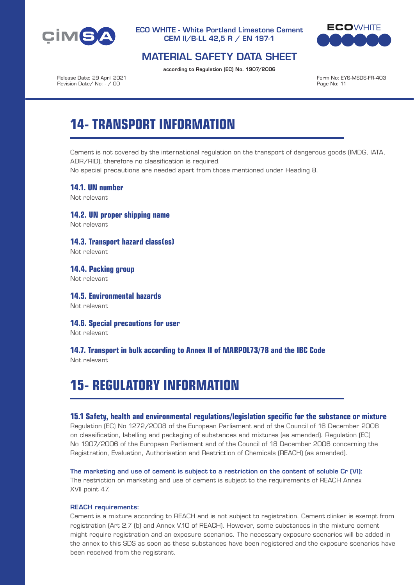



## MATERIAL SAFETY DATA SHEET

according to Regulation (EC) No. 1907/2006

Release Date: 29 April 2021 Revision Date/ No: - / 00

Form No: EYS-MSDS-FR-403 Page No: 11

# **14- TRANSPORT INFORMATION**

Cement is not covered by the international regulation on the transport of dangerous goods (IMDG, IATA, ADR/RID), therefore no classification is required.

No special precautions are needed apart from those mentioned under Heading 8.

**14.1. UN number**

Not relevant

**14.2. UN proper shipping name** Not relevant

**14.3. Transport hazard class(es)** Not relevant

**14.4. Packing group** Not relevant

**14.5. Environmental hazards** Not relevant

**14.6. Special precautions for user**

Not relevant

## **14.7. Transport in bulk according to Annex II of MARPOL73/78 and the IBC Code**

Not relevant

# **15- REGULATORY INFORMATION**

## **15.1 Safety, health and environmental regulations/legislation specific for the substance or mixture**

Regulation (EC) No 1272/2008 of the European Parliament and of the Council of 16 December 2008 on classification, labelling and packaging of substances and mixtures (as amended). Regulation (EC) No 1907/2006 of the European Parliament and of the Council of 18 December 2006 concerning the Registration, Evaluation, Authorisation and Restriction of Chemicals (REACH) (as amended).

#### The marketing and use of cement is subject to a restriction on the content of soluble Cr (VI):

The restriction on marketing and use of cement is subject to the requirements of REACH Annex XVII point 47.

#### REACH requirements:

Cement is a mixture according to REACH and is not subject to registration. Cement clinker is exempt from registration (Art 2.7 (b) and Annex V.10 of REACH). However, some substances in the mixture cement might require registration and an exposure scenarios. The necessary exposure scenarios will be added in the annex to this SDS as soon as these substances have been registered and the exposure scenarios have been received from the registrant.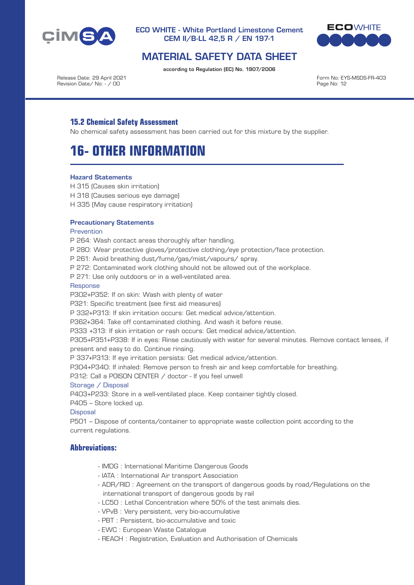



## MATERIAL SAFETY DATA SHEET

according to Regulation (EC) No. 1907/2006

Release Date: 29 April 2021 Revision Date/ No: - / 00

Form No: EYS-MSDS-FR-403 Page No: 12

## **15.2 Chemical Safety Assessment**

No chemical safety assessment has been carried out for this mixture by the supplier.

## **16- OTHER INFORMATION**

#### Hazard Statements

- H 315 (Causes skin irritation)
- H 318 (Causes serious eye damage)
- H 335 (May cause respiratory irritation)

#### Precautionary Statements

#### **Prevention**

- P 264: Wash contact areas thoroughly after handling.
- P 280: Wear protective gloves/protective clothing/eye protection/face protection.
- P 261: Avoid breathing dust/fume/gas/mist/vapours/ spray.
- P 272: Contaminated work clothing should not be allowed out of the workplace.

P 271: Use only outdoors or in a well-ventilated area.

#### Response

- P302+P352: If on skin: Wash with plenty of water
- P321: Specific treatment (see first aid measures)
- P 332+P313: If skin irritation occurs: Get medical advice/attention.
- P362+364: Take off contaminated clothing. And wash it before reuse.
- P333 +313: If skin irritation or rash occurs: Get medical advice/attention.

P305+P351+P338: If in eyes: Rinse cautiously with water for several minutes. Remove contact lenses, if present and easy to do. Continue rinsing.

- P 337+P313: If eye irritation persists: Get medical advice/attention.
- P304+P340: If inhaled: Remove person to fresh air and keep comfortable for breathing.

P312: Call a POISON CENTER / doctor - If you feel unwell

#### Storage / Disposal

P403+P233: Store in a well-ventilated place. Keep container tightly closed.

P405 – Store locked up.

#### **Disposal**

P501 – Dispose of contents/container to appropriate waste collection point according to the current regulations.

## **Abbreviations:**

- IMDG : International Maritime Dangerous Goods
- IATA : International Air transport Association
- ADR/RID : Agreement on the transport of dangerous goods by road/Regulations on the international transport of dangerous goods by rail
- LC50 : Lethal Concentration where 50% of the test animals dies.
- VPvB : Very persistent, very bio-accumulative
- PBT : Persistent, bio-accumulative and toxic
- EWC : European Waste Catalogue
- REACH : Registration, Evaluation and Authorisation of Chemicals